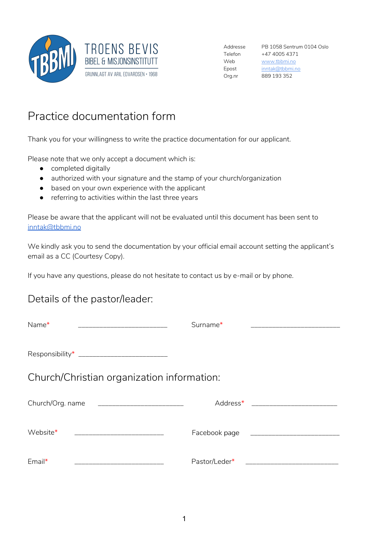

Addresse PB 1058 Sentrum 0104 Oslo Telefon +47 4005 4371 Web www.tbbmi.no Epost inntak@tbbmi.no Org.nr 889 193 352

## Practice documentation form

Thank you for your willingness to write the practice documentation for our applicant.

Please note that we only accept a document which is:

- completed digitally
- authorized with your signature and the stamp of your church/organization
- based on your own experience with the applicant
- referring to activities within the last three years

Please be aware that the applicant will not be evaluated until this document has been sent to inntak@tbbmi.no

We kindly ask you to send the documentation by your official email account setting the applicant's email as a CC (Courtesy Copy).

If you have any questions, please do not hesitate to contact us by e-mail or by phone.

## Details of the pastor/leader:

| Name*<br><u> 1989 - Johann John Stone, meil er fan de ferske fan de ferske fan de ferske fan de ferske fan de ferske fan d</u> | Surname*             |  |  |
|--------------------------------------------------------------------------------------------------------------------------------|----------------------|--|--|
| Responsibility* _____________________________                                                                                  |                      |  |  |
| Church/Christian organization information:                                                                                     |                      |  |  |
| Church/Org. name<br><u> 1980 - Jan James James Barnett, fizik ar filozof eta idazlea (</u>                                     | Address <sup>*</sup> |  |  |
| Website*                                                                                                                       |                      |  |  |
| $Email*$                                                                                                                       | Pastor/Leder*        |  |  |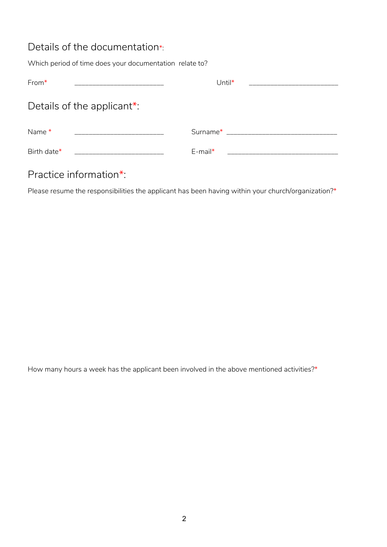## Details of the documentation\*:

Which period of time does your documentation relate to?

| $From*$                    | Until $*$                                                                                                                                                                                                                      |
|----------------------------|--------------------------------------------------------------------------------------------------------------------------------------------------------------------------------------------------------------------------------|
| Details of the applicant*: |                                                                                                                                                                                                                                |
| Name*                      | Surname* The contract of the set of the set of the set of the set of the set of the set of the set of the set of the set of the set of the set of the set of the set of the set of the set of the set of the set of the set of |
| Birth date*                | $E$ -mail*                                                                                                                                                                                                                     |

## Practice information\*:

Please resume the responsibilities the applicant has been having within your church/organization?\*

How many hours a week has the applicant been involved in the above mentioned activities?\*